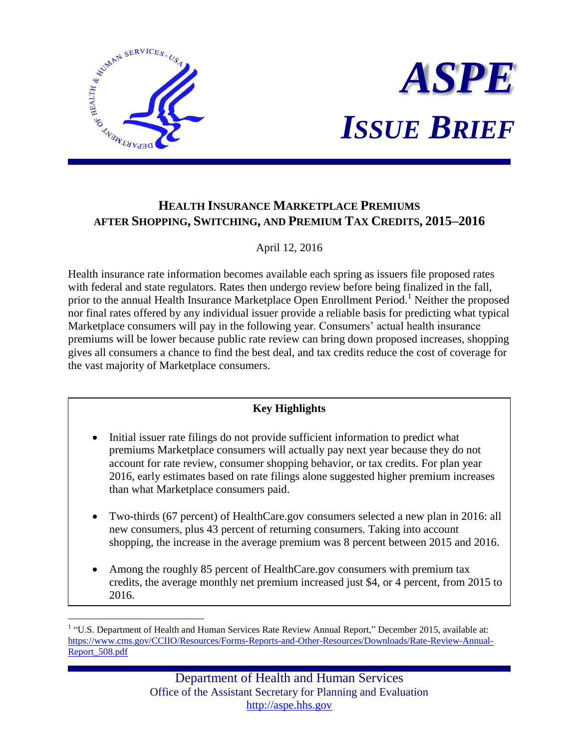



# **HEALTH INSURANCE MARKETPLACE PREMIUMS AFTER SHOPPING, SWITCHING, AND PREMIUM TAX CREDITS, 2015–2016**

### April 12, 2016

Health insurance rate information becomes available each spring as issuers file proposed rates with federal and state regulators. Rates then undergo review before being finalized in the fall, prior to the annual Health Insurance Marketplace Open Enrollment Period.<sup>1</sup> Neither the proposed nor final rates offered by any individual issuer provide a reliable basis for predicting what typical Marketplace consumers will pay in the following year. Consumers' actual health insurance premiums will be lower because public rate review can bring down proposed increases, shopping gives all consumers a chance to find the best deal, and tax credits reduce the cost of coverage for the vast majority of Marketplace consumers.

## **Key Highlights**

- Initial issuer rate filings do not provide sufficient information to predict what premiums Marketplace consumers will actually pay next year because they do not account for rate review, consumer shopping behavior, or tax credits. For plan year 2016, early estimates based on rate filings alone suggested higher premium increases than what Marketplace consumers paid.
- Two-thirds (67 percent) of HealthCare.gov consumers selected a new plan in 2016: all new consumers, plus 43 percent of returning consumers. Taking into account shopping, the increase in the average premium was 8 percent between 2015 and 2016.
- Among the roughly 85 percent of HealthCare.gov consumers with premium tax credits, the average monthly net premium increased just \$4, or 4 percent, from 2015 to 2016.

 $\overline{a}$ <sup>1</sup> "U.S. Department of Health and Human Services Rate Review Annual Report," December 2015, available at: [https://www.cms.gov/CCIIO/Resources/Forms-Reports-and-Other-Resources/Downloads/Rate-Review-Annual-](https://www.cms.gov/CCIIO/Resources/Forms-Reports-and-Other-Resources/Downloads/Rate-Review-Annual-Report_508.pdf)[Report\\_508.pdf](https://www.cms.gov/CCIIO/Resources/Forms-Reports-and-Other-Resources/Downloads/Rate-Review-Annual-Report_508.pdf)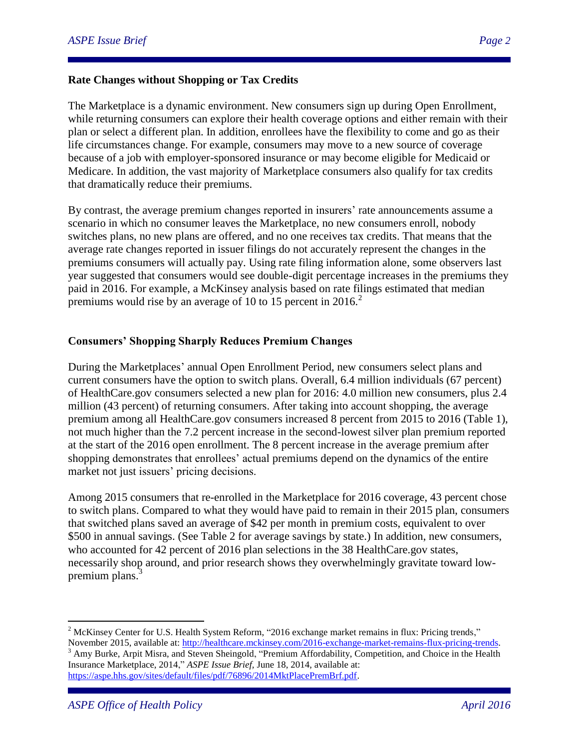#### **Rate Changes without Shopping or Tax Credits**

The Marketplace is a dynamic environment. New consumers sign up during Open Enrollment, while returning consumers can explore their health coverage options and either remain with their plan or select a different plan. In addition, enrollees have the flexibility to come and go as their life circumstances change. For example, consumers may move to a new source of coverage because of a job with employer-sponsored insurance or may become eligible for Medicaid or Medicare. In addition, the vast majority of Marketplace consumers also qualify for tax credits that dramatically reduce their premiums.

By contrast, the average premium changes reported in insurers' rate announcements assume a scenario in which no consumer leaves the Marketplace, no new consumers enroll, nobody switches plans, no new plans are offered, and no one receives tax credits. That means that the average rate changes reported in issuer filings do not accurately represent the changes in the premiums consumers will actually pay. Using rate filing information alone, some observers last year suggested that consumers would see double-digit percentage increases in the premiums they paid in 2016. For example, a McKinsey analysis based on rate filings estimated that median premiums would rise by an average of 10 to 15 percent in  $2016$ <sup>2</sup>

#### **Consumers' Shopping Sharply Reduces Premium Changes**

During the Marketplaces' annual Open Enrollment Period, new consumers select plans and current consumers have the option to switch plans. Overall, 6.4 million individuals (67 percent) of HealthCare.gov consumers selected a new plan for 2016: 4.0 million new consumers, plus 2.4 million (43 percent) of returning consumers. After taking into account shopping, the average premium among all HealthCare.gov consumers increased 8 percent from 2015 to 2016 (Table 1), not much higher than the 7.2 percent increase in the second-lowest silver plan premium reported at the start of the 2016 open enrollment. The 8 percent increase in the average premium after shopping demonstrates that enrollees' actual premiums depend on the dynamics of the entire market not just issuers' pricing decisions.

Among 2015 consumers that re-enrolled in the Marketplace for 2016 coverage, 43 percent chose to switch plans. Compared to what they would have paid to remain in their 2015 plan, consumers that switched plans saved an average of \$42 per month in premium costs, equivalent to over \$500 in annual savings. (See Table 2 for average savings by state.) In addition, new consumers, who accounted for 42 percent of 2016 plan selections in the 38 HealthCare.gov states, necessarily shop around, and prior research shows they overwhelmingly gravitate toward lowpremium plans.<sup>3</sup>

 $\overline{a}$ 

<sup>&</sup>lt;sup>2</sup> McKinsey Center for U.S. Health System Reform, "2016 exchange market remains in flux: Pricing trends," November 2015, available at: [http://healthcare.mckinsey.com/2016-exchange-market-remains-flux-pricing-trends.](http://healthcare.mckinsey.com/2016-exchange-market-remains-flux-pricing-trends)

<sup>&</sup>lt;sup>3</sup> Amy Burke, Arpit Misra, and Steven Sheingold, "Premium Affordability, Competition, and Choice in the Health Insurance Marketplace, 2014," *ASPE Issue Brief,* June 18, 2014, available at: [https://aspe.hhs.gov/sites/default/files/pdf/76896/2014MktPlacePremBrf.pdf.](https://aspe.hhs.gov/sites/default/files/pdf/76896/2014MktPlacePremBrf.pdf)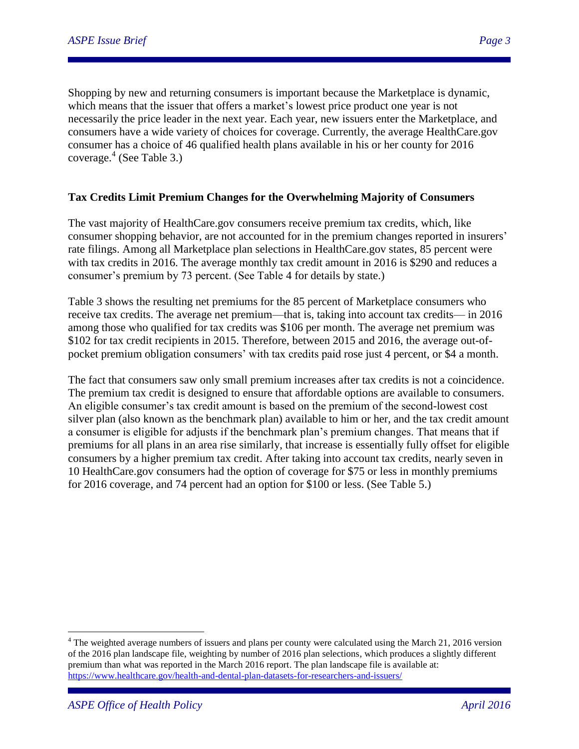Shopping by new and returning consumers is important because the Marketplace is dynamic, which means that the issuer that offers a market's lowest price product one year is not necessarily the price leader in the next year. Each year, new issuers enter the Marketplace, and consumers have a wide variety of choices for coverage. Currently, the average HealthCare.gov consumer has a choice of 46 qualified health plans available in his or her county for 2016 coverage.<sup>4</sup> (See Table 3.)

#### **Tax Credits Limit Premium Changes for the Overwhelming Majority of Consumers**

The vast majority of HealthCare.gov consumers receive premium tax credits, which, like consumer shopping behavior, are not accounted for in the premium changes reported in insurers' rate filings. Among all Marketplace plan selections in HealthCare.gov states, 85 percent were with tax credits in 2016. The average monthly tax credit amount in 2016 is \$290 and reduces a consumer's premium by 73 percent. (See Table 4 for details by state.)

Table 3 shows the resulting net premiums for the 85 percent of Marketplace consumers who receive tax credits. The average net premium—that is, taking into account tax credits— in 2016 among those who qualified for tax credits was \$106 per month. The average net premium was \$102 for tax credit recipients in 2015. Therefore, between 2015 and 2016, the average out-ofpocket premium obligation consumers' with tax credits paid rose just 4 percent, or \$4 a month.

The fact that consumers saw only small premium increases after tax credits is not a coincidence. The premium tax credit is designed to ensure that affordable options are available to consumers. An eligible consumer's tax credit amount is based on the premium of the second-lowest cost silver plan (also known as the benchmark plan) available to him or her, and the tax credit amount a consumer is eligible for adjusts if the benchmark plan's premium changes. That means that if premiums for all plans in an area rise similarly, that increase is essentially fully offset for eligible consumers by a higher premium tax credit. After taking into account tax credits, nearly seven in 10 HealthCare.gov consumers had the option of coverage for \$75 or less in monthly premiums for 2016 coverage, and 74 percent had an option for \$100 or less. (See Table 5.)

 $\overline{a}$ 

<sup>&</sup>lt;sup>4</sup> The weighted average numbers of issuers and plans per county were calculated using the March 21, 2016 version of the 2016 plan landscape file, weighting by number of 2016 plan selections, which produces a slightly different premium than what was reported in the March 2016 report. The plan landscape file is available at: <https://www.healthcare.gov/health-and-dental-plan-datasets-for-researchers-and-issuers/>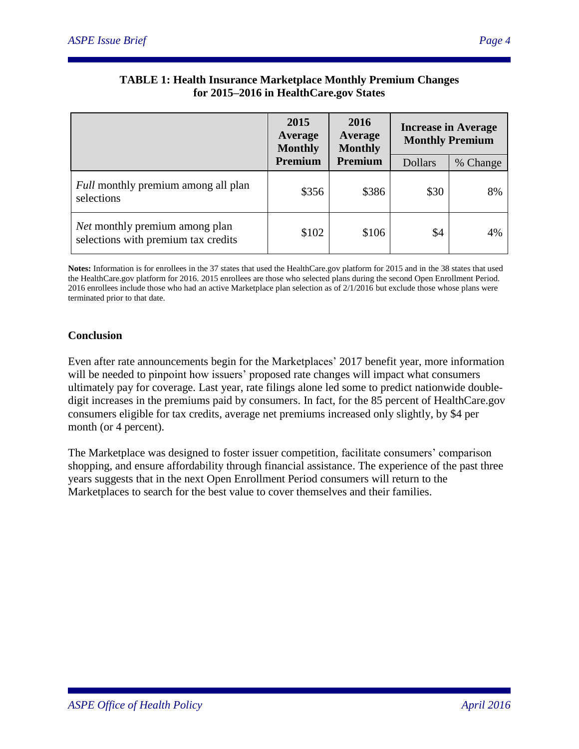|                                                                       | 2015<br>Average<br><b>Monthly</b> | 2016<br>Average<br><b>Monthly</b> | <b>Increase in Average</b><br><b>Monthly Premium</b> |          |
|-----------------------------------------------------------------------|-----------------------------------|-----------------------------------|------------------------------------------------------|----------|
|                                                                       | Premium                           | Premium                           | <b>Dollars</b>                                       | % Change |
| Full monthly premium among all plan<br>selections                     | \$356                             | \$386                             | \$30                                                 | 8%       |
| Net monthly premium among plan<br>selections with premium tax credits | \$102                             | \$106                             | \$4                                                  | 4%       |

### **TABLE 1: Health Insurance Marketplace Monthly Premium Changes for 2015–2016 in HealthCare.gov States**

**Notes:** Information is for enrollees in the 37 states that used the HealthCare.gov platform for 2015 and in the 38 states that used the HealthCare.gov platform for 2016. 2015 enrollees are those who selected plans during the second Open Enrollment Period. 2016 enrollees include those who had an active Marketplace plan selection as of 2/1/2016 but exclude those whose plans were terminated prior to that date.

### **Conclusion**

Even after rate announcements begin for the Marketplaces' 2017 benefit year, more information will be needed to pinpoint how issuers' proposed rate changes will impact what consumers ultimately pay for coverage. Last year, rate filings alone led some to predict nationwide doubledigit increases in the premiums paid by consumers. In fact, for the 85 percent of HealthCare.gov consumers eligible for tax credits, average net premiums increased only slightly, by \$4 per month (or 4 percent).

The Marketplace was designed to foster issuer competition, facilitate consumers' comparison shopping, and ensure affordability through financial assistance. The experience of the past three years suggests that in the next Open Enrollment Period consumers will return to the Marketplaces to search for the best value to cover themselves and their families.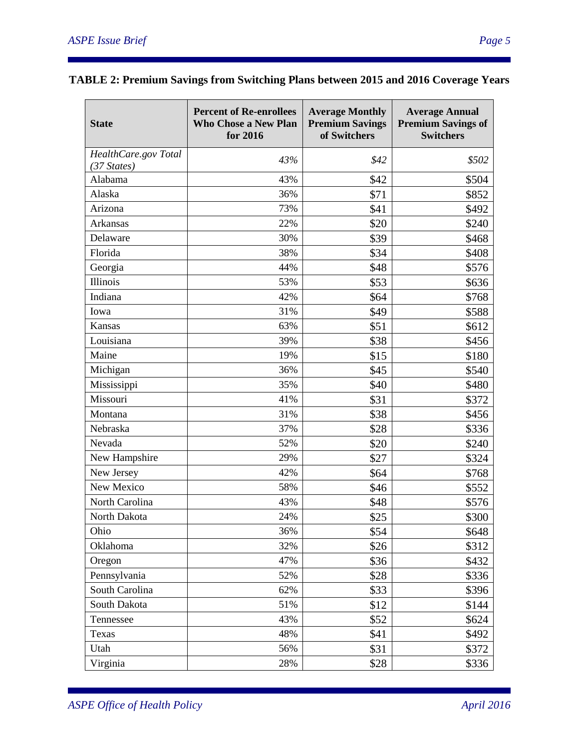| HealthCare.gov Total<br>43%<br>\$42<br>\$502<br>$(37 \text{ States})$<br>Alabama<br>\$42<br>43%<br>\$504<br>Alaska<br>36%<br>\$71<br>\$852<br>Arizona<br>73%<br>\$41<br>\$492<br><b>Arkansas</b><br>22%<br>\$20<br>\$240<br>30%<br>\$39<br>Delaware<br>\$468<br>Florida<br>38%<br>\$34<br>\$408<br>\$48<br>Georgia<br>44%<br>\$576<br>Illinois<br>53%<br>\$53<br>\$636<br>Indiana<br>42%<br>\$64<br>\$768<br>\$49<br>31%<br>\$588<br>Iowa<br>63%<br>\$51<br><b>Kansas</b><br>\$612<br>Louisiana<br>39%<br>\$38<br>\$456<br>Maine<br>19%<br>\$15<br>\$180<br>Michigan<br>36%<br>\$45<br>\$540<br>Mississippi<br>35%<br>\$40<br>\$480<br>Missouri<br>41%<br>\$31<br>\$372<br>31%<br>\$38<br>Montana<br>\$456<br>Nebraska<br>37%<br>\$28<br>\$336<br>Nevada<br>52%<br>\$20<br>\$240<br>New Hampshire<br>29%<br>\$27<br>\$324<br>New Jersey<br>42%<br>\$64<br>\$768<br>New Mexico<br>\$46<br>58%<br>\$552<br>North Carolina<br>43%<br>\$48<br>\$576<br>24%<br>\$25<br>North Dakota<br>\$300<br>Ohio<br>36%<br>\$54<br>\$648<br>Oklahoma<br>32%<br>\$26<br>\$312<br>47%<br>\$36<br>Oregon<br>\$432<br>Pennsylvania<br>52%<br>\$28<br>\$336<br>South Carolina<br>62%<br>\$33<br>\$396<br>South Dakota<br>51%<br>\$12<br>\$144<br>Tennessee<br>43%<br>\$52<br>\$624<br>Texas<br>48%<br>\$492<br>\$41<br>56%<br>Utah<br>\$31<br>\$372 | <b>State</b> | <b>Percent of Re-enrollees</b><br><b>Who Chose a New Plan</b><br>for 2016 | <b>Average Monthly</b><br><b>Premium Savings</b><br>of Switchers | <b>Average Annual</b><br><b>Premium Savings of</b><br><b>Switchers</b> |
|-------------------------------------------------------------------------------------------------------------------------------------------------------------------------------------------------------------------------------------------------------------------------------------------------------------------------------------------------------------------------------------------------------------------------------------------------------------------------------------------------------------------------------------------------------------------------------------------------------------------------------------------------------------------------------------------------------------------------------------------------------------------------------------------------------------------------------------------------------------------------------------------------------------------------------------------------------------------------------------------------------------------------------------------------------------------------------------------------------------------------------------------------------------------------------------------------------------------------------------------------------------------------------------------------------------------------------|--------------|---------------------------------------------------------------------------|------------------------------------------------------------------|------------------------------------------------------------------------|
|                                                                                                                                                                                                                                                                                                                                                                                                                                                                                                                                                                                                                                                                                                                                                                                                                                                                                                                                                                                                                                                                                                                                                                                                                                                                                                                               |              |                                                                           |                                                                  |                                                                        |
|                                                                                                                                                                                                                                                                                                                                                                                                                                                                                                                                                                                                                                                                                                                                                                                                                                                                                                                                                                                                                                                                                                                                                                                                                                                                                                                               |              |                                                                           |                                                                  |                                                                        |
|                                                                                                                                                                                                                                                                                                                                                                                                                                                                                                                                                                                                                                                                                                                                                                                                                                                                                                                                                                                                                                                                                                                                                                                                                                                                                                                               |              |                                                                           |                                                                  |                                                                        |
|                                                                                                                                                                                                                                                                                                                                                                                                                                                                                                                                                                                                                                                                                                                                                                                                                                                                                                                                                                                                                                                                                                                                                                                                                                                                                                                               |              |                                                                           |                                                                  |                                                                        |
|                                                                                                                                                                                                                                                                                                                                                                                                                                                                                                                                                                                                                                                                                                                                                                                                                                                                                                                                                                                                                                                                                                                                                                                                                                                                                                                               |              |                                                                           |                                                                  |                                                                        |
|                                                                                                                                                                                                                                                                                                                                                                                                                                                                                                                                                                                                                                                                                                                                                                                                                                                                                                                                                                                                                                                                                                                                                                                                                                                                                                                               |              |                                                                           |                                                                  |                                                                        |
|                                                                                                                                                                                                                                                                                                                                                                                                                                                                                                                                                                                                                                                                                                                                                                                                                                                                                                                                                                                                                                                                                                                                                                                                                                                                                                                               |              |                                                                           |                                                                  |                                                                        |
|                                                                                                                                                                                                                                                                                                                                                                                                                                                                                                                                                                                                                                                                                                                                                                                                                                                                                                                                                                                                                                                                                                                                                                                                                                                                                                                               |              |                                                                           |                                                                  |                                                                        |
|                                                                                                                                                                                                                                                                                                                                                                                                                                                                                                                                                                                                                                                                                                                                                                                                                                                                                                                                                                                                                                                                                                                                                                                                                                                                                                                               |              |                                                                           |                                                                  |                                                                        |
|                                                                                                                                                                                                                                                                                                                                                                                                                                                                                                                                                                                                                                                                                                                                                                                                                                                                                                                                                                                                                                                                                                                                                                                                                                                                                                                               |              |                                                                           |                                                                  |                                                                        |
|                                                                                                                                                                                                                                                                                                                                                                                                                                                                                                                                                                                                                                                                                                                                                                                                                                                                                                                                                                                                                                                                                                                                                                                                                                                                                                                               |              |                                                                           |                                                                  |                                                                        |
|                                                                                                                                                                                                                                                                                                                                                                                                                                                                                                                                                                                                                                                                                                                                                                                                                                                                                                                                                                                                                                                                                                                                                                                                                                                                                                                               |              |                                                                           |                                                                  |                                                                        |
|                                                                                                                                                                                                                                                                                                                                                                                                                                                                                                                                                                                                                                                                                                                                                                                                                                                                                                                                                                                                                                                                                                                                                                                                                                                                                                                               |              |                                                                           |                                                                  |                                                                        |
|                                                                                                                                                                                                                                                                                                                                                                                                                                                                                                                                                                                                                                                                                                                                                                                                                                                                                                                                                                                                                                                                                                                                                                                                                                                                                                                               |              |                                                                           |                                                                  |                                                                        |
|                                                                                                                                                                                                                                                                                                                                                                                                                                                                                                                                                                                                                                                                                                                                                                                                                                                                                                                                                                                                                                                                                                                                                                                                                                                                                                                               |              |                                                                           |                                                                  |                                                                        |
|                                                                                                                                                                                                                                                                                                                                                                                                                                                                                                                                                                                                                                                                                                                                                                                                                                                                                                                                                                                                                                                                                                                                                                                                                                                                                                                               |              |                                                                           |                                                                  |                                                                        |
|                                                                                                                                                                                                                                                                                                                                                                                                                                                                                                                                                                                                                                                                                                                                                                                                                                                                                                                                                                                                                                                                                                                                                                                                                                                                                                                               |              |                                                                           |                                                                  |                                                                        |
|                                                                                                                                                                                                                                                                                                                                                                                                                                                                                                                                                                                                                                                                                                                                                                                                                                                                                                                                                                                                                                                                                                                                                                                                                                                                                                                               |              |                                                                           |                                                                  |                                                                        |
|                                                                                                                                                                                                                                                                                                                                                                                                                                                                                                                                                                                                                                                                                                                                                                                                                                                                                                                                                                                                                                                                                                                                                                                                                                                                                                                               |              |                                                                           |                                                                  |                                                                        |
|                                                                                                                                                                                                                                                                                                                                                                                                                                                                                                                                                                                                                                                                                                                                                                                                                                                                                                                                                                                                                                                                                                                                                                                                                                                                                                                               |              |                                                                           |                                                                  |                                                                        |
|                                                                                                                                                                                                                                                                                                                                                                                                                                                                                                                                                                                                                                                                                                                                                                                                                                                                                                                                                                                                                                                                                                                                                                                                                                                                                                                               |              |                                                                           |                                                                  |                                                                        |
|                                                                                                                                                                                                                                                                                                                                                                                                                                                                                                                                                                                                                                                                                                                                                                                                                                                                                                                                                                                                                                                                                                                                                                                                                                                                                                                               |              |                                                                           |                                                                  |                                                                        |
|                                                                                                                                                                                                                                                                                                                                                                                                                                                                                                                                                                                                                                                                                                                                                                                                                                                                                                                                                                                                                                                                                                                                                                                                                                                                                                                               |              |                                                                           |                                                                  |                                                                        |
|                                                                                                                                                                                                                                                                                                                                                                                                                                                                                                                                                                                                                                                                                                                                                                                                                                                                                                                                                                                                                                                                                                                                                                                                                                                                                                                               |              |                                                                           |                                                                  |                                                                        |
|                                                                                                                                                                                                                                                                                                                                                                                                                                                                                                                                                                                                                                                                                                                                                                                                                                                                                                                                                                                                                                                                                                                                                                                                                                                                                                                               |              |                                                                           |                                                                  |                                                                        |
|                                                                                                                                                                                                                                                                                                                                                                                                                                                                                                                                                                                                                                                                                                                                                                                                                                                                                                                                                                                                                                                                                                                                                                                                                                                                                                                               |              |                                                                           |                                                                  |                                                                        |
|                                                                                                                                                                                                                                                                                                                                                                                                                                                                                                                                                                                                                                                                                                                                                                                                                                                                                                                                                                                                                                                                                                                                                                                                                                                                                                                               |              |                                                                           |                                                                  |                                                                        |
|                                                                                                                                                                                                                                                                                                                                                                                                                                                                                                                                                                                                                                                                                                                                                                                                                                                                                                                                                                                                                                                                                                                                                                                                                                                                                                                               |              |                                                                           |                                                                  |                                                                        |
|                                                                                                                                                                                                                                                                                                                                                                                                                                                                                                                                                                                                                                                                                                                                                                                                                                                                                                                                                                                                                                                                                                                                                                                                                                                                                                                               |              |                                                                           |                                                                  |                                                                        |
|                                                                                                                                                                                                                                                                                                                                                                                                                                                                                                                                                                                                                                                                                                                                                                                                                                                                                                                                                                                                                                                                                                                                                                                                                                                                                                                               |              |                                                                           |                                                                  |                                                                        |
|                                                                                                                                                                                                                                                                                                                                                                                                                                                                                                                                                                                                                                                                                                                                                                                                                                                                                                                                                                                                                                                                                                                                                                                                                                                                                                                               |              |                                                                           |                                                                  |                                                                        |
|                                                                                                                                                                                                                                                                                                                                                                                                                                                                                                                                                                                                                                                                                                                                                                                                                                                                                                                                                                                                                                                                                                                                                                                                                                                                                                                               |              |                                                                           |                                                                  |                                                                        |
|                                                                                                                                                                                                                                                                                                                                                                                                                                                                                                                                                                                                                                                                                                                                                                                                                                                                                                                                                                                                                                                                                                                                                                                                                                                                                                                               |              |                                                                           |                                                                  |                                                                        |
|                                                                                                                                                                                                                                                                                                                                                                                                                                                                                                                                                                                                                                                                                                                                                                                                                                                                                                                                                                                                                                                                                                                                                                                                                                                                                                                               |              |                                                                           |                                                                  |                                                                        |
|                                                                                                                                                                                                                                                                                                                                                                                                                                                                                                                                                                                                                                                                                                                                                                                                                                                                                                                                                                                                                                                                                                                                                                                                                                                                                                                               |              |                                                                           |                                                                  |                                                                        |
|                                                                                                                                                                                                                                                                                                                                                                                                                                                                                                                                                                                                                                                                                                                                                                                                                                                                                                                                                                                                                                                                                                                                                                                                                                                                                                                               | Virginia     | 28%                                                                       | \$28                                                             | \$336                                                                  |

### **TABLE 2: Premium Savings from Switching Plans between 2015 and 2016 Coverage Years**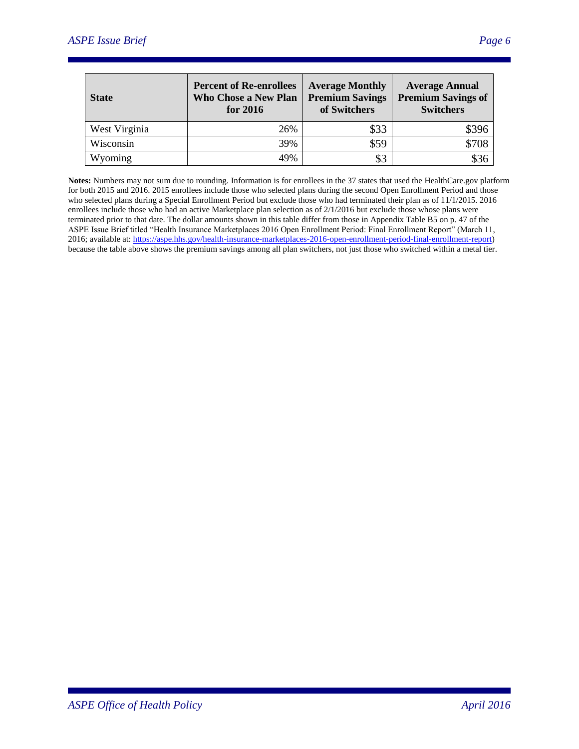| <b>State</b>  | <b>Percent of Re-enrollees</b><br><b>Who Chose a New Plan</b><br>for 2016 | <b>Average Monthly</b><br><b>Premium Savings</b><br>of Switchers | <b>Average Annual</b><br><b>Premium Savings of</b><br><b>Switchers</b> |
|---------------|---------------------------------------------------------------------------|------------------------------------------------------------------|------------------------------------------------------------------------|
| West Virginia | 26%                                                                       | \$33                                                             | S396                                                                   |
| Wisconsin     | 39%                                                                       | \$59                                                             | \$708                                                                  |
| Wyoming       | 49%                                                                       | \$3                                                              | \$36                                                                   |

**Notes:** Numbers may not sum due to rounding. Information is for enrollees in the 37 states that used the HealthCare.gov platform for both 2015 and 2016. 2015 enrollees include those who selected plans during the second Open Enrollment Period and those who selected plans during a Special Enrollment Period but exclude those who had terminated their plan as of 11/1/2015. 2016 enrollees include those who had an active Marketplace plan selection as of 2/1/2016 but exclude those whose plans were terminated prior to that date. The dollar amounts shown in this table differ from those in Appendix Table B5 on p. 47 of the ASPE Issue Brief titled "Health Insurance Marketplaces 2016 Open Enrollment Period: Final Enrollment Report" (March 11, 2016; available at[: https://aspe.hhs.gov/health-insurance-marketplaces-2016-open-enrollment-period-final-enrollment-report\)](https://aspe.hhs.gov/health-insurance-marketplaces-2016-open-enrollment-period-final-enrollment-report) because the table above shows the premium savings among all plan switchers, not just those who switched within a metal tier.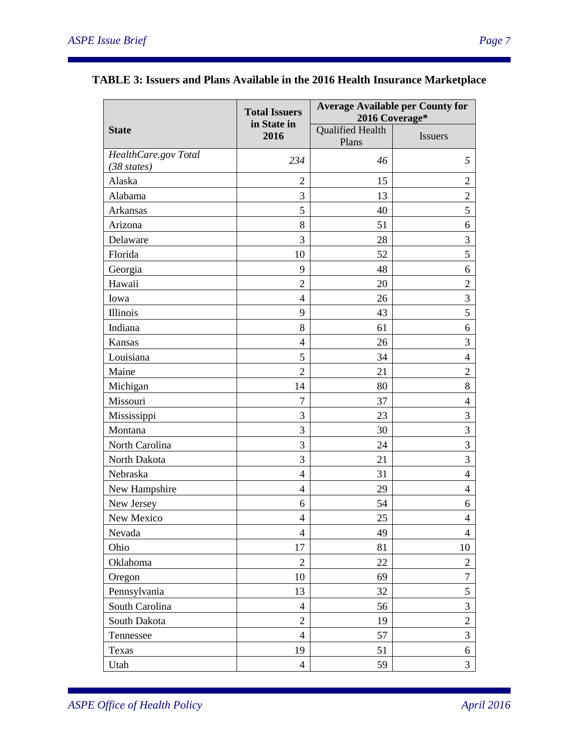|                      | <b>Total Issuers</b> | <b>Average Available per County for</b><br>2016 Coverage* |                  |  |
|----------------------|----------------------|-----------------------------------------------------------|------------------|--|
| <b>State</b>         | in State in<br>2016  | <b>Qualified Health</b><br>Plans                          | Issuers          |  |
| HealthCare.gov Total | 234                  | 46                                                        | 5                |  |
| $(38 \; states)$     |                      |                                                           |                  |  |
| Alaska               | $\overline{2}$       | 15                                                        | $\overline{2}$   |  |
| Alabama              | 3                    | 13                                                        | $\overline{2}$   |  |
| Arkansas             | 5                    | 40                                                        | 5                |  |
| Arizona              | 8                    | 51                                                        | 6                |  |
| Delaware             | 3                    | 28                                                        | 3                |  |
| Florida              | 10                   | 52                                                        | 5                |  |
| Georgia              | 9                    | 48                                                        | 6                |  |
| Hawaii               | $\overline{2}$       | 20                                                        | $\overline{2}$   |  |
| Iowa                 | $\overline{4}$       | 26                                                        | 3                |  |
| <b>Illinois</b>      | 9                    | 43                                                        | 5                |  |
| Indiana              | 8                    | 61                                                        | 6                |  |
| Kansas               | $\overline{4}$       | 26                                                        | 3                |  |
| Louisiana            | 5                    | 34                                                        | $\overline{4}$   |  |
| Maine                | $\overline{2}$       | 21                                                        | $\overline{2}$   |  |
| Michigan             | 14                   | 80                                                        | 8                |  |
| Missouri             | $\overline{7}$       | 37                                                        | $\overline{4}$   |  |
| Mississippi          | 3                    | 23                                                        | 3                |  |
| Montana              | 3                    | 30                                                        | 3                |  |
| North Carolina       | 3                    | 24                                                        | 3                |  |
| North Dakota         | 3                    | 21                                                        | 3                |  |
| Nebraska             | $\overline{4}$       | 31                                                        | $\overline{4}$   |  |
| New Hampshire        | $\overline{4}$       | 29                                                        | 4                |  |
| New Jersey           | 6                    | 54                                                        | 6                |  |
| New Mexico           | $\overline{4}$       | 25                                                        | $\overline{4}$   |  |
| Nevada               | $\overline{4}$       | 49                                                        | $\overline{4}$   |  |
| Ohio                 | 17                   | 81                                                        | 10               |  |
| Oklahoma             | $\overline{2}$       | 22                                                        | $\overline{c}$   |  |
| Oregon               | 10                   | 69                                                        | $\boldsymbol{7}$ |  |
| Pennsylvania         | 13                   | 32                                                        | 5                |  |
| South Carolina       | $\overline{4}$       | 56                                                        | 3                |  |
| South Dakota         | $\overline{2}$       | 19                                                        | $\overline{2}$   |  |
| Tennessee            | $\overline{4}$       | 57                                                        | 3                |  |
| Texas                | 19                   | 51                                                        | 6                |  |
| Utah                 | $\overline{4}$       | 59                                                        | 3                |  |

# **TABLE 3: Issuers and Plans Available in the 2016 Health Insurance Marketplace**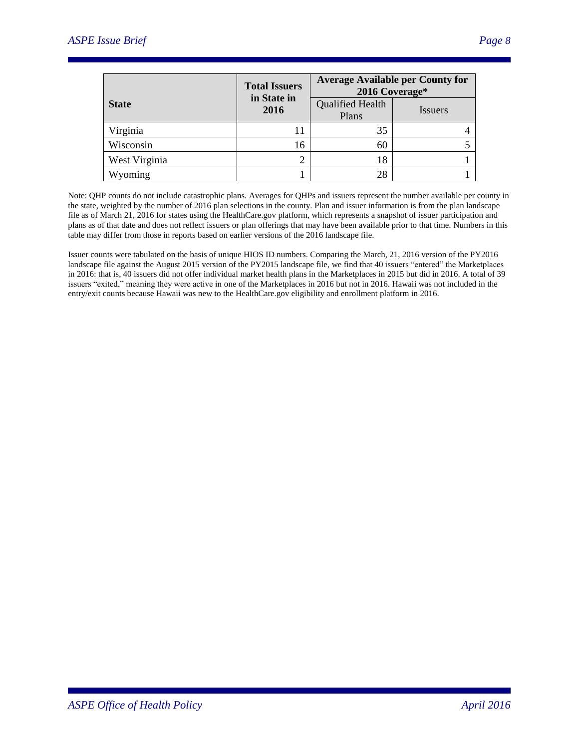|               | <b>Total Issuers</b><br>in State in | <b>Average Available per County for</b><br>2016 Coverage* |                |
|---------------|-------------------------------------|-----------------------------------------------------------|----------------|
| <b>State</b>  | 2016                                | <b>Qualified Health</b><br>Plans                          | <i>Issuers</i> |
| Virginia      |                                     | 35                                                        |                |
| Wisconsin     | 16                                  | 60                                                        |                |
| West Virginia |                                     | 18                                                        |                |
| Wyoming       |                                     | 28                                                        |                |

Note: QHP counts do not include catastrophic plans. Averages for QHPs and issuers represent the number available per county in the state, weighted by the number of 2016 plan selections in the county. Plan and issuer information is from the plan landscape file as of March 21, 2016 for states using the HealthCare.gov platform, which represents a snapshot of issuer participation and plans as of that date and does not reflect issuers or plan offerings that may have been available prior to that time. Numbers in this table may differ from those in reports based on earlier versions of the 2016 landscape file.

Issuer counts were tabulated on the basis of unique HIOS ID numbers. Comparing the March, 21, 2016 version of the PY2016 landscape file against the August 2015 version of the PY2015 landscape file, we find that 40 issuers "entered" the Marketplaces in 2016: that is, 40 issuers did not offer individual market health plans in the Marketplaces in 2015 but did in 2016. A total of 39 issuers "exited," meaning they were active in one of the Marketplaces in 2016 but not in 2016. Hawaii was not included in the entry/exit counts because Hawaii was new to the HealthCare.gov eligibility and enrollment platform in 2016.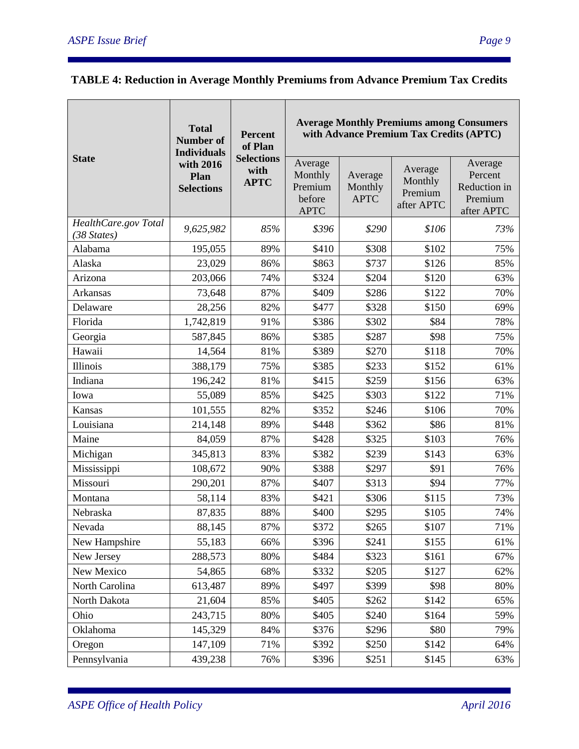|                                               | <b>Total</b><br><b>Number of</b><br><b>Individuals</b> | <b>Percent</b><br>of Plan                |                                                        |                                   | <b>Average Monthly Premiums among Consumers</b><br>with Advance Premium Tax Credits (APTC) |                                                             |
|-----------------------------------------------|--------------------------------------------------------|------------------------------------------|--------------------------------------------------------|-----------------------------------|--------------------------------------------------------------------------------------------|-------------------------------------------------------------|
| <b>State</b>                                  | with 2016<br>Plan<br><b>Selections</b>                 | <b>Selections</b><br>with<br><b>APTC</b> | Average<br>Monthly<br>Premium<br>before<br><b>APTC</b> | Average<br>Monthly<br><b>APTC</b> | Average<br>Monthly<br>Premium<br>after APTC                                                | Average<br>Percent<br>Reduction in<br>Premium<br>after APTC |
| HealthCare.gov Total<br>$(38 \text{ States})$ | 9,625,982                                              | 85%                                      | \$396                                                  | \$290                             | \$106                                                                                      | 73%                                                         |
| Alabama                                       | 195,055                                                | 89%                                      | \$410                                                  | \$308                             | \$102                                                                                      | 75%                                                         |
| Alaska                                        | 23,029                                                 | 86%                                      | \$863                                                  | \$737                             | \$126                                                                                      | 85%                                                         |
| Arizona                                       | 203,066                                                | 74%                                      | \$324                                                  | \$204                             | \$120                                                                                      | 63%                                                         |
| Arkansas                                      | 73,648                                                 | 87%                                      | \$409                                                  | \$286                             | \$122                                                                                      | 70%                                                         |
| Delaware                                      | 28,256                                                 | 82%                                      | \$477                                                  | \$328                             | \$150                                                                                      | 69%                                                         |
| Florida                                       | 1,742,819                                              | 91%                                      | \$386                                                  | \$302                             | \$84                                                                                       | 78%                                                         |
| Georgia                                       | 587,845                                                | 86%                                      | \$385                                                  | \$287                             | \$98                                                                                       | 75%                                                         |
| Hawaii                                        | 14,564                                                 | 81%                                      | \$389                                                  | \$270                             | \$118                                                                                      | 70%                                                         |
| Illinois                                      | 388,179                                                | 75%                                      | \$385                                                  | \$233                             | \$152                                                                                      | 61%                                                         |
| Indiana                                       | 196,242                                                | 81%                                      | \$415                                                  | \$259                             | \$156                                                                                      | 63%                                                         |
| Iowa                                          | 55,089                                                 | 85%                                      | \$425                                                  | \$303                             | \$122                                                                                      | 71%                                                         |
| Kansas                                        | 101,555                                                | 82%                                      | \$352                                                  | \$246                             | \$106                                                                                      | 70%                                                         |
| Louisiana                                     | 214,148                                                | 89%                                      | \$448                                                  | \$362                             | \$86                                                                                       | 81%                                                         |
| Maine                                         | 84,059                                                 | 87%                                      | \$428                                                  | \$325                             | \$103                                                                                      | 76%                                                         |
| Michigan                                      | 345,813                                                | 83%                                      | \$382                                                  | \$239                             | \$143                                                                                      | 63%                                                         |
| Mississippi                                   | 108,672                                                | 90%                                      | \$388                                                  | \$297                             | \$91                                                                                       | 76%                                                         |
| Missouri                                      | 290,201                                                | 87%                                      | \$407                                                  | \$313                             | \$94                                                                                       | 77%                                                         |
| Montana                                       | 58,114                                                 | 83%                                      | \$421                                                  | \$306                             | \$115                                                                                      | 73%                                                         |
| Nebraska                                      | 87,835                                                 | 88%                                      | \$400                                                  | \$295                             | \$105                                                                                      | 74%                                                         |
| Nevada                                        | 88,145                                                 | 87%                                      | \$372                                                  | \$265                             | \$107                                                                                      | 71%                                                         |
| New Hampshire                                 | 55,183                                                 | 66%                                      | \$396                                                  | \$241                             | \$155                                                                                      | 61%                                                         |
| New Jersey                                    | 288,573                                                | 80%                                      | \$484                                                  | \$323                             | \$161                                                                                      | 67%                                                         |
| New Mexico                                    | 54,865                                                 | 68%                                      | \$332                                                  | \$205                             | \$127                                                                                      | 62%                                                         |
| North Carolina                                | 613,487                                                | 89%                                      | \$497                                                  | \$399                             | \$98                                                                                       | 80%                                                         |
| North Dakota                                  | 21,604                                                 | 85%                                      | \$405                                                  | \$262                             | \$142                                                                                      | 65%                                                         |
| Ohio                                          | 243,715                                                | 80%                                      | \$405                                                  | \$240                             | \$164                                                                                      | 59%                                                         |
| Oklahoma                                      | 145,329                                                | 84%                                      | \$376                                                  | \$296                             | \$80                                                                                       | 79%                                                         |
| Oregon                                        | 147,109                                                | 71%                                      | \$392                                                  | \$250                             | \$142                                                                                      | 64%                                                         |
| Pennsylvania                                  | 439,238                                                | 76%                                      | \$396                                                  | \$251                             | \$145                                                                                      | 63%                                                         |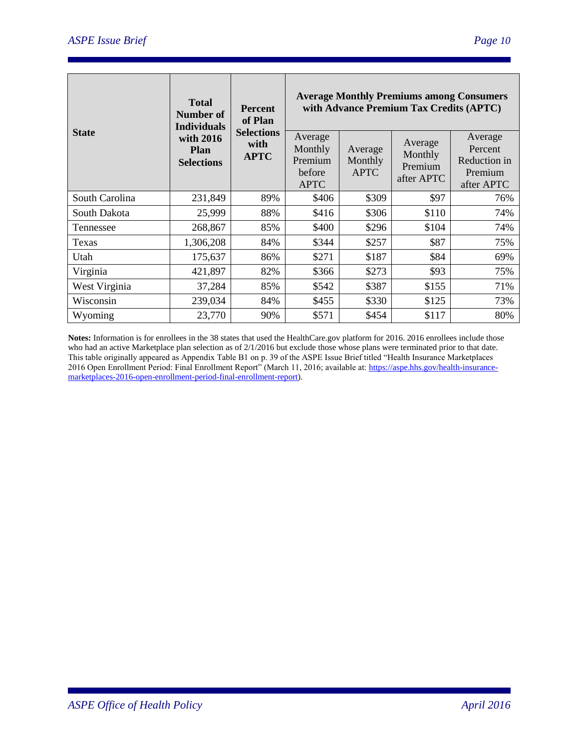|                | <b>Total</b><br>Number of<br><b>Individuals</b> | <b>Percent</b><br>of Plan                | <b>Average Monthly Premiums among Consumers</b><br>with Advance Premium Tax Credits (APTC) |                                   |                                             |                                                             |  |
|----------------|-------------------------------------------------|------------------------------------------|--------------------------------------------------------------------------------------------|-----------------------------------|---------------------------------------------|-------------------------------------------------------------|--|
| <b>State</b>   | with 2016<br><b>Plan</b><br><b>Selections</b>   | <b>Selections</b><br>with<br><b>APTC</b> | Average<br>Monthly<br>Premium<br>before<br><b>APTC</b>                                     | Average<br>Monthly<br><b>APTC</b> | Average<br>Monthly<br>Premium<br>after APTC | Average<br>Percent<br>Reduction in<br>Premium<br>after APTC |  |
| South Carolina | 231,849                                         | 89%                                      | \$406                                                                                      | \$309                             | \$97                                        | 76%                                                         |  |
| South Dakota   | 25,999                                          | 88%                                      | \$416                                                                                      | \$306                             | \$110                                       | 74%                                                         |  |
| Tennessee      | 268,867                                         | 85%                                      | \$400                                                                                      | \$296                             | \$104                                       | 74%                                                         |  |
| Texas          | 1,306,208                                       | 84%                                      | \$344                                                                                      | \$257                             | \$87                                        | 75%                                                         |  |
| Utah           | 175,637                                         | 86%                                      | \$271                                                                                      | \$187                             | \$84                                        | 69%                                                         |  |
| Virginia       | 421,897                                         | 82%                                      | \$366                                                                                      | \$273                             | \$93                                        | 75%                                                         |  |
| West Virginia  | 37,284                                          | 85%                                      | \$542                                                                                      | \$387                             | \$155                                       | 71%                                                         |  |
| Wisconsin      | 239,034                                         | 84%                                      | \$455                                                                                      | \$330                             | \$125                                       | 73%                                                         |  |
| Wyoming        | 23,770                                          | 90%                                      | \$571                                                                                      | \$454                             | \$117                                       | 80%                                                         |  |

**Notes:** Information is for enrollees in the 38 states that used the HealthCare.gov platform for 2016. 2016 enrollees include those who had an active Marketplace plan selection as of 2/1/2016 but exclude those whose plans were terminated prior to that date. This table originally appeared as Appendix Table B1 on p. 39 of the ASPE Issue Brief titled "Health Insurance Marketplaces 2016 Open Enrollment Period: Final Enrollment Report" (March 11, 2016; available at: [https://aspe.hhs.gov/health-insurance](https://aspe.hhs.gov/health-insurance-marketplaces-2016-open-enrollment-period-final-enrollment-report)[marketplaces-2016-open-enrollment-period-final-enrollment-report\)](https://aspe.hhs.gov/health-insurance-marketplaces-2016-open-enrollment-period-final-enrollment-report).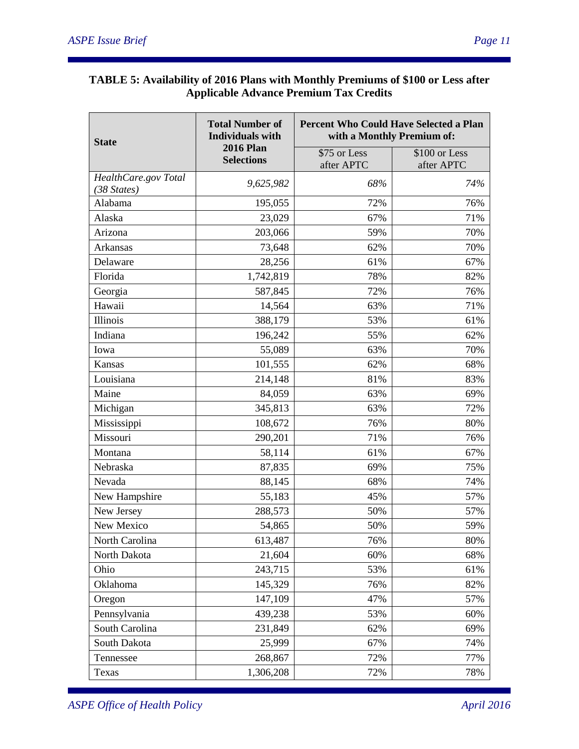### **TABLE 5: Availability of 2016 Plans with Monthly Premiums of \$100 or Less after Applicable Advance Premium Tax Credits**

| <b>State</b>                        | <b>Total Number of</b><br><b>Individuals with</b> | <b>Percent Who Could Have Selected a Plan</b><br>with a Monthly Premium of: |                             |  |
|-------------------------------------|---------------------------------------------------|-----------------------------------------------------------------------------|-----------------------------|--|
|                                     | <b>2016 Plan</b><br><b>Selections</b>             | \$75 or Less<br>after APTC                                                  | \$100 or Less<br>after APTC |  |
| HealthCare.gov Total<br>(38 States) | 9,625,982                                         | 68%                                                                         | 74%                         |  |
| Alabama                             | 195,055                                           | 72%                                                                         | 76%                         |  |
| Alaska                              | 23,029                                            | 67%                                                                         | 71%                         |  |
| Arizona                             | 203,066                                           | 59%                                                                         | 70%                         |  |
| Arkansas                            | 73,648                                            | 62%                                                                         | 70%                         |  |
| Delaware                            | 28,256                                            | 61%                                                                         | 67%                         |  |
| Florida                             | 1,742,819                                         | 78%                                                                         | 82%                         |  |
| Georgia                             | 587,845                                           | 72%                                                                         | 76%                         |  |
| Hawaii                              | 14,564                                            | 63%                                                                         | 71%                         |  |
| <b>Illinois</b>                     | 388,179                                           | 53%                                                                         | 61%                         |  |
| Indiana                             | 196,242                                           | 55%                                                                         | 62%                         |  |
| Iowa                                | 55,089                                            | 63%                                                                         | 70%                         |  |
| Kansas                              | 101,555                                           | 62%                                                                         | 68%                         |  |
| Louisiana                           | 214,148                                           | 81%                                                                         | 83%                         |  |
| Maine                               | 84,059                                            | 63%                                                                         | 69%                         |  |
| Michigan                            | 345,813                                           | 63%                                                                         | 72%                         |  |
| Mississippi                         | 108,672                                           | 76%                                                                         | 80%                         |  |
| Missouri                            | 290,201                                           | 71%                                                                         | 76%                         |  |
| Montana                             | 58,114                                            | 61%                                                                         | 67%                         |  |
| Nebraska                            | 87,835                                            | 69%                                                                         | 75%                         |  |
| Nevada                              | 88,145                                            | 68%                                                                         | 74%                         |  |
| New Hampshire                       | 55,183                                            | 45%                                                                         | 57%                         |  |
| New Jersey                          | 288,573                                           | 50%                                                                         | 57%                         |  |
| New Mexico                          | 54,865                                            | 50%                                                                         | 59%                         |  |
| North Carolina                      | 613,487                                           | 76%                                                                         | 80%                         |  |
| North Dakota                        | 21,604                                            | 60%                                                                         | 68%                         |  |
| Ohio                                | 243,715                                           | 53%                                                                         | 61%                         |  |
| Oklahoma                            | 145,329                                           | 76%                                                                         | 82%                         |  |
| Oregon                              | 147,109                                           | 47%                                                                         | 57%                         |  |
| Pennsylvania                        | 439,238                                           | 53%                                                                         | 60%                         |  |
| South Carolina                      | 231,849                                           | 62%                                                                         | 69%                         |  |
| South Dakota                        | 25,999                                            | 67%                                                                         | 74%                         |  |
| Tennessee                           | 268,867                                           | 72%                                                                         | 77%                         |  |
| Texas                               | 1,306,208                                         | 72%                                                                         | 78%                         |  |